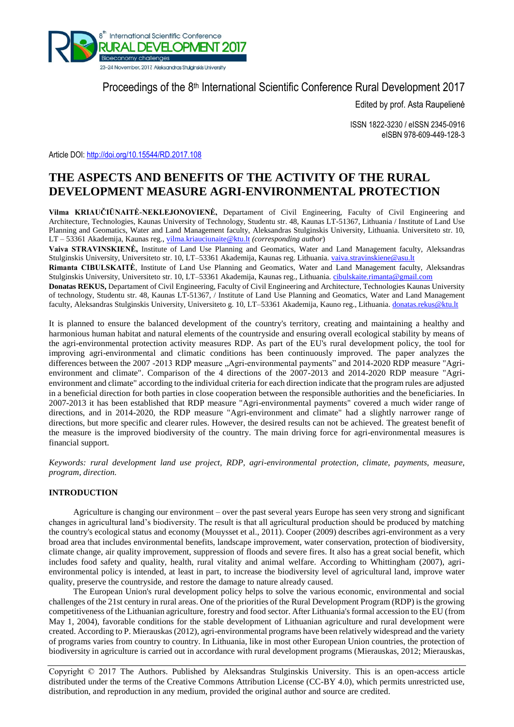

# Proceedings of the 8<sup>th</sup> International Scientific Conference Rural Development 2017

Edited by prof. Asta Raupelienė

ISSN 1822-3230 / eISSN 2345-0916 eISBN 978-609-449-128-3

Article DOI:<http://doi.org/10.15544/RD.2017.108>

# **THE ASPECTS AND BENEFITS OF THE ACTIVITY OF THE RURAL DEVELOPMENT MEASURE AGRI-ENVIRONMENTAL PROTECTION**

**Vilma KRIAUČIŪNAITĖ-NEKLEJONOVIENĖ,** Departament of Civil Engineering, Faculty of Civil Engineering and Architecture, Technologies, Kaunas University of Technology, Studentu str. 48, Kaunas LT-51367, Lithuania / Institute of Land Use Planning and Geomatics, Water and Land Management faculty, Aleksandras Stulginskis University, Lithuania. Universiteto str. 10, LT – 53361 Akademija, Kaunas reg., [vilma.kriauciunaite@ktu.lt](mailto:vilma.kriauciunaite@ktu.lt) *(corresponding author*)

**Vaiva STRAVINSKIENĖ,** Institute of Land Use Planning and Geomatics, Water and Land Management faculty, Aleksandras Stulginskis University, Universiteto str. 10, LT-53361 Akademija, Kaunas reg. Lithuania[. vaiva.stravinskiene@asu.lt](mailto:vaiva.stravinskiene@asu.lt)

**Rimanta CIBULSKAITĖ**, Institute of Land Use Planning and Geomatics, Water and Land Management faculty, Aleksandras Stulginskis University, Universiteto str. 10, LT-53361 Akademija, Kaunas reg., Lithuania. [cibulskaite.rimanta@gmail.com](mailto:cibulskaite.rimanta@gmail.com)

**Donatas REKUS,** Departament of Civil Engineering, Faculty of Civil Engineering and Architecture, Technologies Kaunas University of technology, Studentu str. 48, Kaunas LT-51367, / Institute of Land Use Planning and Geomatics, Water and Land Management faculty, Aleksandras Stulginskis University, Universiteto g. 10, LT–53361 Akademija, Kauno reg., Lithuania[. donatas.rekus@ktu.lt](mailto:donatas.rekus@ktu.lt)

It is planned to ensure the balanced development of the country's territory, creating and maintaining a healthy and harmonious human habitat and natural elements of the countryside and ensuring overall ecological stability by means of the agri-environmental protection activity measures RDP. As part of the EU's rural development policy, the tool for improving agri-environmental and climatic conditions has been continuously improved. The paper analyzes the differences between the 2007 -2013 RDP measure "Agri-environmental payments" and 2014-2020 RDP measure "Agrienvironment and climate". Comparison of the 4 directions of the 2007-2013 and 2014-2020 RDP measure "Agrienvironment and climate" according to the individual criteria for each direction indicate that the program rules are adjusted in a beneficial direction for both parties in close cooperation between the responsible authorities and the beneficiaries. In 2007-2013 it has been established that RDP measure "Agri-environmental payments" covered a much wider range of directions, and in 2014-2020, the RDP measure "Agri-environment and climate" had a slightly narrower range of directions, but more specific and clearer rules. However, the desired results can not be achieved. The greatest benefit of the measure is the improved biodiversity of the country. The main driving force for agri-environmental measures is financial support.

*Keywords: rural development land use project, RDP, agri-environmental protection, climate, payments, measure, program, direction.*

## **INTRODUCTION**

Agriculture is changing our environment – over the past several years Europe has seen very strong and significant changes in agricultural land's biodiversity. The result is that all agricultural production should be produced by matching the country's ecological status and economy (Mouysset et al., 2011). Cooper (2009) describes agri-environment as a very broad area that includes environmental benefits, landscape improvement, water conservation, protection of biodiversity, climate change, air quality improvement, suppression of floods and severe fires. It also has a great social benefit, which includes food safety and quality, health, rural vitality and animal welfare. According to Whittingham (2007), agrienvironmental policy is intended, at least in part, to increase the biodiversity level of agricultural land, improve water quality, preserve the countryside, and restore the damage to nature already caused.

The European Union's rural development policy helps to solve the various economic, environmental and social challenges of the 21st century in rural areas. One of the priorities of the Rural Development Program (RDP) is the growing competitiveness of the Lithuanian agriculture, forestry and food sector. After Lithuania's formal accession to the EU (from May 1, 2004), favorable conditions for the stable development of Lithuanian agriculture and rural development were created. According to P. Mierauskas (2012), agri-environmental programs have been relatively widespread and the variety of programs varies from country to country. In Lithuania, like in most other European Union countries, the protection of biodiversity in agriculture is carried out in accordance with rural development programs (Mierauskas, 2012; Mierauskas,

Copyright © 2017 The Authors. Published by Aleksandras Stulginskis University. This is an open-access article distributed under the terms of the Creative Commons Attribution License (CC-BY 4.0), which permits unrestricted use, distribution, and reproduction in any medium, provided the original author and source are credited.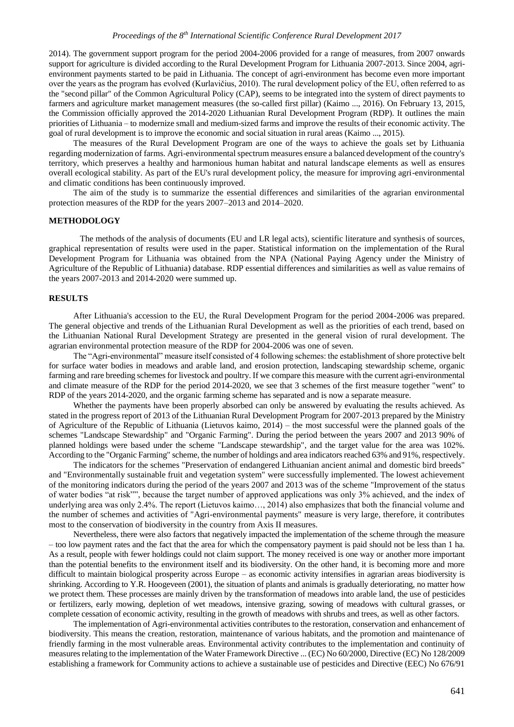2014). The government support program for the period 2004-2006 provided for a range of measures, from 2007 onwards support for agriculture is divided according to the Rural Development Program for Lithuania 2007-2013. Since 2004, agrienvironment payments started to be paid in Lithuania. The concept of agri-environment has become even more important over the years as the program has evolved (Kurlavičius, 2010). The rural development policy of the EU, often referred to as the "second pillar" of the Common Agricultural Policy (CAP), seems to be integrated into the system of direct payments to farmers and agriculture market management measures (the so-called first pillar) (Kaimo ..., 2016). On February 13, 2015, the Commission officially approved the 2014-2020 Lithuanian Rural Development Program (RDP). It outlines the main priorities of Lithuania – to modernize small and medium-sized farms and improve the results of their economic activity. The goal of rural development is to improve the economic and social situation in rural areas (Kaimo ..., 2015).

The measures of the Rural Development Program are one of the ways to achieve the goals set by Lithuania regarding modernization of farms. Agri-environmental spectrum measures ensure a balanced development of the country's territory, which preserves a healthy and harmonious human habitat and natural landscape elements as well as ensures overall ecological stability. As part of the EU's rural development policy, the measure for improving agri-environmental and climatic conditions has been continuously improved.

The aim of the study is to summarize the essential differences and similarities of the agrarian environmental protection measures of the RDP for the years 2007–2013 and 2014–2020.

### **METHODOLOGY**

The methods of the analysis of documents (EU and LR legal acts), scientific literature and synthesis of sources, graphical representation of results were used in the paper. Statistical information on the implementation of the Rural Development Program for Lithuania was obtained from the NPA (National Paying Agency under the Ministry of Agriculture of the Republic of Lithuania) database. RDP essential differences and similarities as well as value remains of the years 2007-2013 and 2014-2020 were summed up.

## **RESULTS**

After Lithuania's accession to the EU, the Rural Development Program for the period 2004-2006 was prepared. The general objective and trends of the Lithuanian Rural Development as well as the priorities of each trend, based on the Lithuanian National Rural Development Strategy are presented in the general vision of rural development. The agrarian environmental protection measure of the RDP for 2004-2006 was one of seven.

The "Agri-environmental" measure itself consisted of 4 following schemes: the establishment of shore protective belt for surface water bodies in meadows and arable land, and erosion protection, landscaping stewardship scheme, organic farming and rare breeding schemes for livestock and poultry. If we compare this measure with the current agri-environmental and climate measure of the RDP for the period 2014-2020, we see that 3 schemes of the first measure together "went" to RDP of the years 2014-2020, and the organic farming scheme has separated and is now a separate measure.

Whether the payments have been properly absorbed can only be answered by evaluating the results achieved. As stated in the progress report of 2013 of the Lithuanian Rural Development Program for 2007-2013 prepared by the Ministry of Agriculture of the Republic of Lithuania (Lietuvos kaimo, 2014) – the most successful were the planned goals of the schemes "Landscape Stewardship" and "Organic Farming". During the period between the years 2007 and 2013 90% of planned holdings were based under the scheme "Landscape stewardship", and the target value for the area was 102%. According to the "Organic Farming" scheme, the number of holdings and area indicators reached 63% and 91%, respectively.

The indicators for the schemes "Preservation of endangered Lithuanian ancient animal and domestic bird breeds" and "Environmentally sustainable fruit and vegetation system" were successfully implemented. The lowest achievement of the monitoring indicators during the period of the years 2007 and 2013 was of the scheme "Improvement of the status of water bodies "at risk"", because the target number of approved applications was only 3% achieved, and the index of underlying area was only 2.4%. The report (Lietuvos kaimo…, 2014) also emphasizes that both the financial volume and the number of schemes and activities of "Agri-environmental payments" measure is very large, therefore, it contributes most to the conservation of biodiversity in the country from Axis II measures.

Nevertheless, there were also factors that negatively impacted the implementation of the scheme through the measure – too low payment rates and the fact that the area for which the compensatory payment is paid should not be less than 1 ha. As a result, people with fewer holdings could not claim support. The money received is one way or another more important than the potential benefits to the environment itself and its biodiversity. On the other hand, it is becoming more and more difficult to maintain biological prosperity across Europe – as economic activity intensifies in agrarian areas biodiversity is shrinking. According to Y.R. Hoogeveen (2001), the situation of plants and animals is gradually deteriorating, no matter how we protect them. These processes are mainly driven by the transformation of meadows into arable land, the use of pesticides or fertilizers, early mowing, depletion of wet meadows, intensive grazing, sowing of meadows with cultural grasses, or complete cessation of economic activity, resulting in the growth of meadows with shrubs and trees, as well as other factors.

The implementation of Agri-environmental activities contributes to the restoration, conservation and enhancement of biodiversity. This means the creation, restoration, maintenance of various habitats, and the promotion and maintenance of friendly farming in the most vulnerable areas. Environmental activity contributes to the implementation and continuity of measures relating to the implementation of the Water Framework Directive ... (EC) No 60/2000, Directive (EC) No 128/2009 establishing a framework for Community actions to achieve a sustainable use of pesticides and Directive (EEC) No 676/91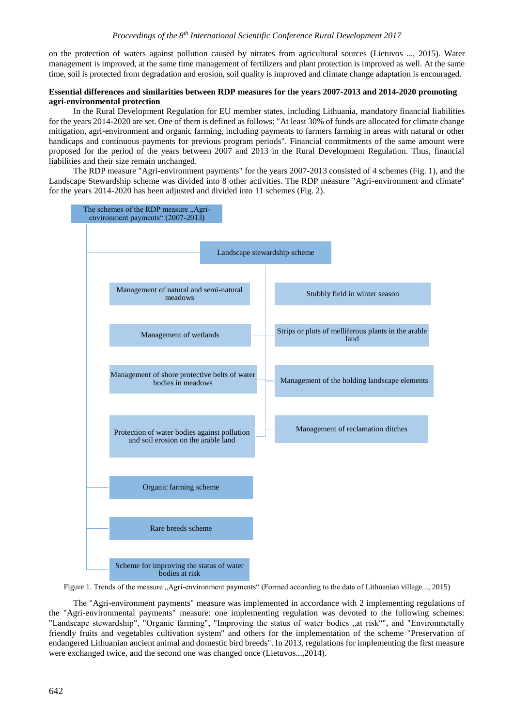on the protection of waters against pollution caused by nitrates from agricultural sources (Lietuvos ..., 2015). Water management is improved, at the same time management of fertilizers and plant protection is improved as well. At the same time, soil is protected from degradation and erosion, soil quality is improved and climate change adaptation is encouraged.

# **Essential differences and similarities between RDP measures for the years 2007-2013 and 2014-2020 promoting agri-environmental protection**

In the Rural Development Regulation for EU member states, including Lithuania, mandatory financial liabilities for the years 2014-2020 are set. One of them is defined as follows: "At least 30% of funds are allocated for climate change mitigation, agri-environment and organic farming, including payments to farmers farming in areas with natural or other handicaps and continuous payments for previous program periods". Financial commitments of the same amount were proposed for the period of the years between 2007 and 2013 in the Rural Development Regulation. Thus, financial liabilities and their size remain unchanged.

The RDP measure "Agri-environment payments" for the years 2007-2013 consisted of 4 schemes (Fig. 1), and the Landscape Stewardship scheme was divided into 8 other activities. The RDP measure "Agri-environment and climate" for the years 2014-2020 has been adjusted and divided into 11 schemes (Fig. 2).



Figure 1. Trends of the measure "Agri-environment payments" (Formed according to the data of Lithuanian village .., 2015)

The "Agri-environment payments" measure was implemented in accordance with 2 implementing regulations of the "Agri-environmental payments" measure: one implementing regulation was devoted to the following schemes: "Landscape stewardship", "Organic farming", "Improving the status of water bodies "at risk"", and "Environmetally friendly fruits and vegetables cultivation system" and others for the implementation of the scheme "Preservation of endangered Lithuanian ancient animal and domestic bird breeds". In 2013, regulations for implementing the first measure were exchanged twice, and the second one was changed once (Lietuvos...,2014).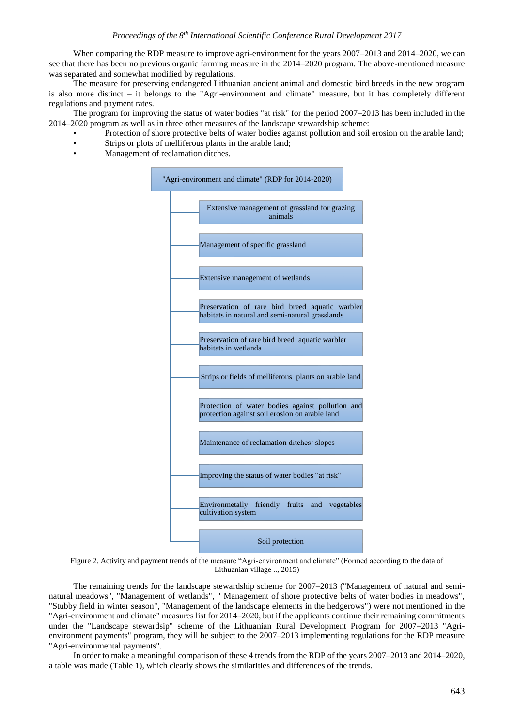When comparing the RDP measure to improve agri-environment for the years 2007–2013 and 2014–2020, we can see that there has been no previous organic farming measure in the 2014–2020 program. The above-mentioned measure was separated and somewhat modified by regulations.

The measure for preserving endangered Lithuanian ancient animal and domestic bird breeds in the new program is also more distinct – it belongs to the "Agri-environment and climate" measure, but it has completely different regulations and payment rates.

The program for improving the status of water bodies "at risk" for the period 2007–2013 has been included in the 2014–2020 program as well as in three other measures of the landscape stewardship scheme:

- Protection of shore protective belts of water bodies against pollution and soil erosion on the arable land;
- Strips or plots of melliferous plants in the arable land;
- Management of reclamation ditches.



Figure 2. Activity and payment trends of the measure "Agri-environment and climate" (Formed according to the data of Lithuanian village .., 2015)

The remaining trends for the landscape stewardship scheme for 2007–2013 ("Management of natural and seminatural meadows", "Management of wetlands", " Management of shore protective belts of water bodies in meadows", "Stubby field in winter season", "Management of the landscape elements in the hedgerows") were not mentioned in the "Agri-environment and climate" measures list for 2014–2020, but if the applicants continue their remaining commitments under the "Landscape stewardsip" scheme of the Lithuanian Rural Development Program for 2007–2013 "Agrienvironment payments" program, they will be subject to the 2007–2013 implementing regulations for the RDP measure "Agri-environmental payments".

In order to make a meaningful comparison of these 4 trends from the RDP of the years 2007–2013 and 2014–2020, a table was made (Table 1), which clearly shows the similarities and differences of the trends.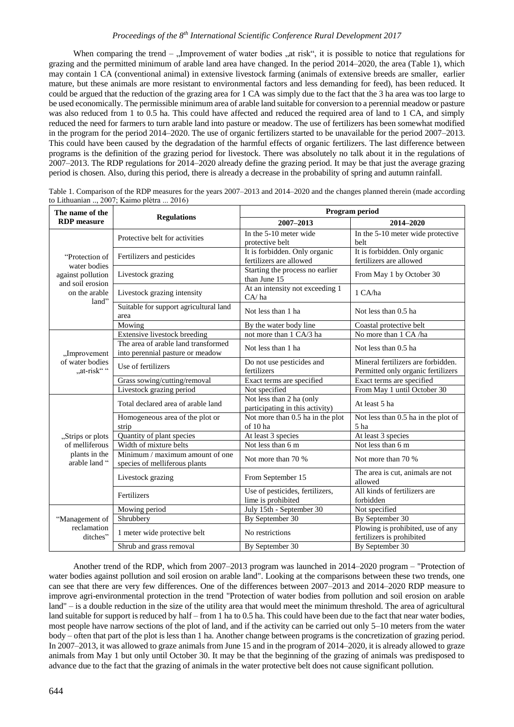## *Proceedings of the 8th International Scientific Conference Rural Development 2017*

When comparing the trend – "Improvement of water bodies "at risk", it is possible to notice that regulations for grazing and the permitted minimum of arable land area have changed. In the period 2014–2020, the area (Table 1), which may contain 1 CA (conventional animal) in extensive livestock farming (animals of extensive breeds are smaller, earlier mature, but these animals are more resistant to environmental factors and less demanding for feed), has been reduced. It could be argued that the reduction of the grazing area for 1 CA was simply due to the fact that the 3 ha area was too large to be used economically. The permissible minimum area of arable land suitable for conversion to a perennial meadow or pasture was also reduced from 1 to 0.5 ha. This could have affected and reduced the required area of land to 1 CA, and simply reduced the need for farmers to turn arable land into pasture or meadow. The use of fertilizers has been somewhat modified in the program for the period 2014–2020. The use of organic fertilizers started to be unavailable for the period 2007–2013. This could have been caused by the degradation of the harmful effects of organic fertilizers. The last difference between programs is the definition of the grazing period for livestock. There was absolutely no talk about it in the regulations of 2007–2013. The RDP regulations for 2014–2020 already define the grazing period. It may be that just the average grazing period is chosen. Also, during this period, there is already a decrease in the probability of spring and autumn rainfall.

| The name of the<br><b>RDP</b> measure                                                             | <b>Regulations</b>                                                      | Program period                                              |                                                                          |
|---------------------------------------------------------------------------------------------------|-------------------------------------------------------------------------|-------------------------------------------------------------|--------------------------------------------------------------------------|
|                                                                                                   |                                                                         | 2007-2013                                                   | 2014-2020                                                                |
| "Protection of<br>water bodies<br>against pollution<br>and soil erosion<br>on the arable<br>land" | Protective belt for activities                                          | In the 5-10 meter wide                                      | In the 5-10 meter wide protective                                        |
|                                                                                                   |                                                                         | protective belt                                             | belt                                                                     |
|                                                                                                   | Fertilizers and pesticides                                              | It is forbidden. Only organic<br>fertilizers are allowed    | It is forbidden. Only organic<br>fertilizers are allowed                 |
|                                                                                                   | Livestock grazing                                                       | Starting the process no earlier<br>than June 15             | From May 1 by October 30                                                 |
|                                                                                                   | Livestock grazing intensity                                             | At an intensity not exceeding 1<br>CA/ha                    | 1 CA/ha                                                                  |
|                                                                                                   | Suitable for support agricultural land<br>area                          | Not less than 1 ha                                          | Not less than 0.5 ha                                                     |
|                                                                                                   | Mowing                                                                  | By the water body line                                      | Coastal protective belt                                                  |
| "Improvement<br>of water bodies<br>"at-risk""                                                     | Extensive livestock breeding                                            | not more than 1 CA/3 ha                                     | No more than 1 CA /ha                                                    |
|                                                                                                   | The area of arable land transformed<br>into perennial pasture or meadow | Not less than 1 ha                                          | Not less than 0.5 ha                                                     |
|                                                                                                   | Use of fertilizers                                                      | Do not use pesticides and<br>fertilizers                    | Mineral fertilizers are forbidden.<br>Permitted only organic fertilizers |
|                                                                                                   | Grass sowing/cutting/removal                                            | Exact terms are specified                                   | Exact terms are specified                                                |
|                                                                                                   | Livestock grazing period                                                | Not specified                                               | From May 1 until October 30                                              |
| "Strips or plots<br>of melliferous<br>plants in the<br>arable land "                              | Total declared area of arable land                                      | Not less than 2 ha (only<br>participating in this activity) | At least 5 ha                                                            |
|                                                                                                   | Homogeneous area of the plot or<br>strip                                | Not more than 0.5 ha in the plot<br>of 10 ha                | Not less than 0.5 ha in the plot of<br>5 ha                              |
|                                                                                                   | Quantity of plant species                                               | At least 3 species                                          | At least 3 species                                                       |
|                                                                                                   | Width of mixture belts                                                  | Not less than 6 m                                           | Not less than 6 m                                                        |
|                                                                                                   | Minimum / maximum amount of one<br>species of melliferous plants        | Not more than 70 %                                          | Not more than 70 %                                                       |
|                                                                                                   | Livestock grazing                                                       | From September 15                                           | The area is cut, animals are not<br>allowed                              |
|                                                                                                   | Fertilizers                                                             | Use of pesticides, fertilizers,<br>lime is prohibited       | All kinds of fertilizers are<br>forbidden                                |
| "Management of<br>reclamation<br>ditches"                                                         | Mowing period                                                           | July 15th - September 30                                    | Not specified                                                            |
|                                                                                                   | Shrubbery                                                               | By September 30                                             | By September 30                                                          |
|                                                                                                   | 1 meter wide protective belt                                            | No restrictions                                             | Plowing is prohibited, use of any<br>fertilizers is prohibited           |
|                                                                                                   | Shrub and grass removal                                                 | By September 30                                             | By September $30$                                                        |

Table 1. Comparison of the RDP measures for the years 2007–2013 and 2014–2020 and the changes planned therein (made according to Lithuanian .., 2007; Kaimo plėtra ... 2016)

Another trend of the RDP, which from 2007–2013 program was launched in 2014–2020 program – "Protection of water bodies against pollution and soil erosion on arable land". Looking at the comparisons between these two trends, one can see that there are very few differences. One of the differences between 2007–2013 and 2014–2020 RDP measure to improve agri-environmental protection in the trend "Protection of water bodies from pollution and soil erosion on arable land" – is a double reduction in the size of the utility area that would meet the minimum threshold. The area of agricultural land suitable for support is reduced by half – from 1 ha to 0.5 ha. This could have been due to the fact that near water bodies, most people have narrow sections of the plot of land, and if the activity can be carried out only 5–10 meters from the water body – often that part of the plot is less than 1 ha. Another change between programs is the concretization of grazing period. In 2007–2013, it was allowed to graze animals from June 15 and in the program of 2014–2020, it is already allowed to graze animals from May 1 but only until October 30. It may be that the beginning of the grazing of animals was predisposed to advance due to the fact that the grazing of animals in the water protective belt does not cause significant pollution.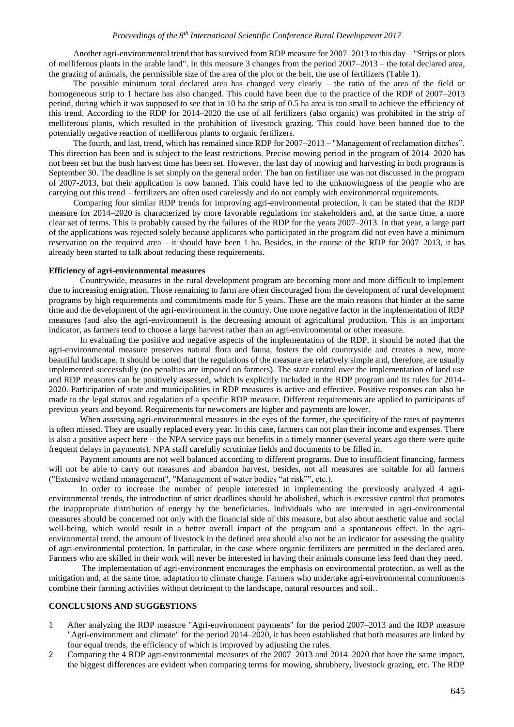Another agri-environmental trend that has survived from RDP measure for 2007–2013 to this day – "Strips or plots of melliferous plants in the arable land". In this measure 3 changes from the period 2007–2013 – the total declared area, the grazing of animals, the permissible size of the area of the plot or the belt, the use of fertilizers (Table 1).

The possible minimum total declared area has changed very clearly – the ratio of the area of the field or homogeneous strip to 1 hectare has also changed. This could have been due to the practice of the RDP of 2007–2013 period, during which it was supposed to see that in 10 ha the strip of 0.5 ha area is too small to achieve the efficiency of this trend. According to the RDP for 2014–2020 the use of all fertilizers (also organic) was prohibited in the strip of melliferous plants, which resulted in the prohibition of livestock grazing. This could have been banned due to the potentially negative reaction of melliferous plants to organic fertilizers.

The fourth, and last, trend, which has remained since RDP for 2007–2013 – "Management of reclamation ditches". This direction has been and is subject to the least restrictions. Precise mowing period in the program of 2014–2020 has not been set but the bush harvest time has been set. However, the last day of mowing and harvesting in both programs is September 30. The deadline is set simply on the general order. The ban on fertilizer use was not discussed in the program of 2007-2013, but their application is now banned. This could have led to the unknowingness of the people who are carrying out this trend – fertilizers are often used carelessly and do not comply with environmental requirements.

Comparing four similar RDP trends for improving agri-environmental protection, it can be stated that the RDP measure for 2014–2020 is characterized by more favorable regulations for stakeholders and, at the same time, a more clear set of terms. This is probably caused by the failures of the RDP for the years 2007–2013. In that year, a large part of the applications was rejected solely because applicants who participated in the program did not even have a minimum reservation on the required area – it should have been 1 ha. Besides, in the course of the RDP for 2007–2013, it has already been started to talk about reducing these requirements.

### **Efficiency of agri-environmental measures**

Countrywide, measures in the rural development program are becoming more and more difficult to implement due to increasing emigration. Those remaining to farm are often discouraged from the development of rural development programs by high requirements and commitments made for 5 years. These are the main reasons that hinder at the same time and the development of the agri-environment in the country. One more negative factor in the implementation of RDP measures (and also the agri-environment) is the decreasing amount of agricultural production. This is an important indicator, as farmers tend to choose a large harvest rather than an agri-environmental or other measure.

In evaluating the positive and negative aspects of the implementation of the RDP, it should be noted that the agri-environmental measure preserves natural flora and fauna, fosters the old countryside and creates a new, more beautiful landscape. It should be noted that the regulations of the measure are relatively simple and, therefore, are usually implemented successfully (no penalties are imposed on farmers). The state control over the implementation of land use and RDP measures can be positively assessed, which is explicitly included in the RDP program and its rules for 2014- 2020. Participation of state and municipalities in RDP measures is active and effective. Positive responses can also be made to the legal status and regulation of a specific RDP measure. Different requirements are applied to participants of previous years and beyond. Requirements for newcomers are higher and payments are lower.

When assessing agri-environmental measures in the eyes of the farmer, the specificity of the rates of payments is often missed. They are usually replaced every year. In this case, farmers can not plan their income and expenses. There is also a positive aspect here – the NPA service pays out benefits in a timely manner (several years ago there were quite frequent delays in payments). NPA staff carefully scrutinize fields and documents to be filled in.

Payment amounts are not well balanced according to different programs. Due to insufficient financing, farmers will not be able to carry out measures and abandon harvest, besides, not all measures are suitable for all farmers ("Extensive wetland management", "Management of water bodies "at risk"", etc.).

In order to increase the number of people interested in implementing the previously analyzed 4 agrienvironmental trends, the introduction of strict deadlines should be abolished, which is excessive control that promotes the inappropriate distribution of energy by the beneficiaries. Individuals who are interested in agri-environmental measures should be concerned not only with the financial side of this measure, but also about aesthetic value and social well-being, which would result in a better overall impact of the program and a spontaneous effect. In the agrienvironmental trend, the amount of livestock in the defined area should also not be an indicator for assessing the quality of agri-environmental protection. In particular, in the case where organic fertilizers are permitted in the declared area. Farmers who are skilled in their work will never be interested in having their animals consume less feed than they need.

The implementation of agri-environment encourages the emphasis on environmental protection, as well as the mitigation and, at the same time, adaptation to climate change. Farmers who undertake agri-environmental commitments combine their farming activities without detriment to the landscape, natural resources and soil..

#### **CONCLUSIONS AND SUGGESTIONS**

- 1 After analyzing the RDP measure "Agri-environment payments" for the period 2007–2013 and the RDP measure "Agri-environment and climate" for the period 2014–2020, it has been established that both measures are linked by four equal trends, the efficiency of which is improved by adjusting the rules.
- 2 Comparing the 4 RDP agri-environmental measures of the 2007–2013 and 2014–2020 that have the same impact, the biggest differences are evident when comparing terms for mowing, shrubbery, livestock grazing, etc. The RDP